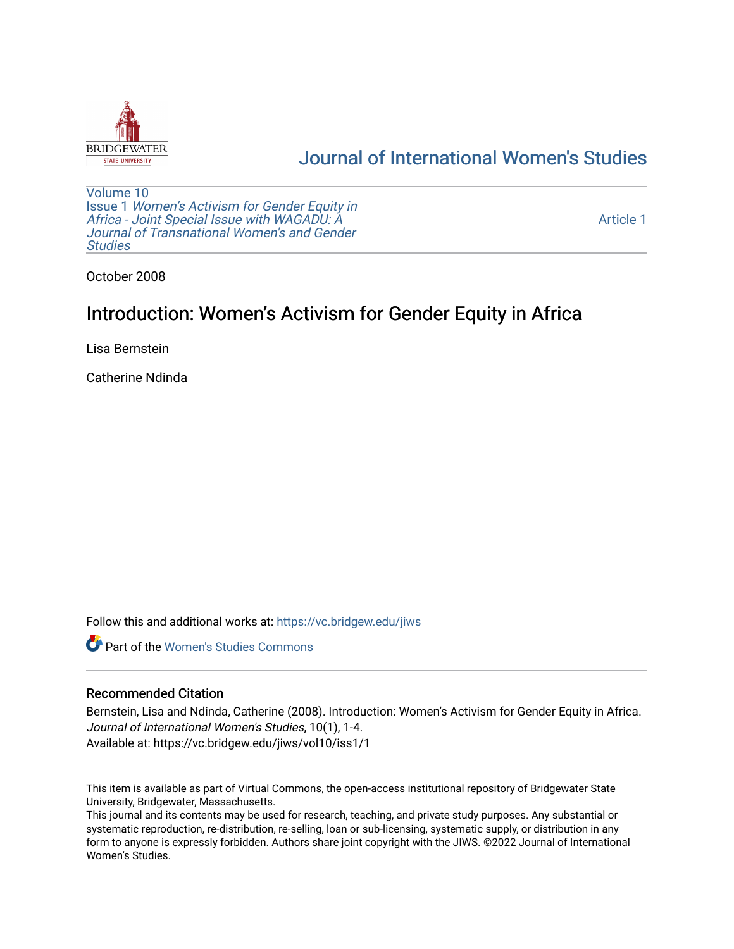

## [Journal of International Women's Studies](https://vc.bridgew.edu/jiws)

[Volume 10](https://vc.bridgew.edu/jiws/vol10) Issue 1 [Women's Activism for Gender Equity in](https://vc.bridgew.edu/jiws/vol10/iss1)  [Africa - Joint Special Issue with WAGADU: A](https://vc.bridgew.edu/jiws/vol10/iss1)  [Journal of Transnational Women's and Gender](https://vc.bridgew.edu/jiws/vol10/iss1)  **Studies** 

[Article 1](https://vc.bridgew.edu/jiws/vol10/iss1/1) 

October 2008

## Introduction: Women's Activism for Gender Equity in Africa

Lisa Bernstein

Catherine Ndinda

Follow this and additional works at: [https://vc.bridgew.edu/jiws](https://vc.bridgew.edu/jiws?utm_source=vc.bridgew.edu%2Fjiws%2Fvol10%2Fiss1%2F1&utm_medium=PDF&utm_campaign=PDFCoverPages)

**C** Part of the Women's Studies Commons

## Recommended Citation

Bernstein, Lisa and Ndinda, Catherine (2008). Introduction: Women's Activism for Gender Equity in Africa. Journal of International Women's Studies, 10(1), 1-4. Available at: https://vc.bridgew.edu/jiws/vol10/iss1/1

This item is available as part of Virtual Commons, the open-access institutional repository of Bridgewater State University, Bridgewater, Massachusetts.

This journal and its contents may be used for research, teaching, and private study purposes. Any substantial or systematic reproduction, re-distribution, re-selling, loan or sub-licensing, systematic supply, or distribution in any form to anyone is expressly forbidden. Authors share joint copyright with the JIWS. ©2022 Journal of International Women's Studies.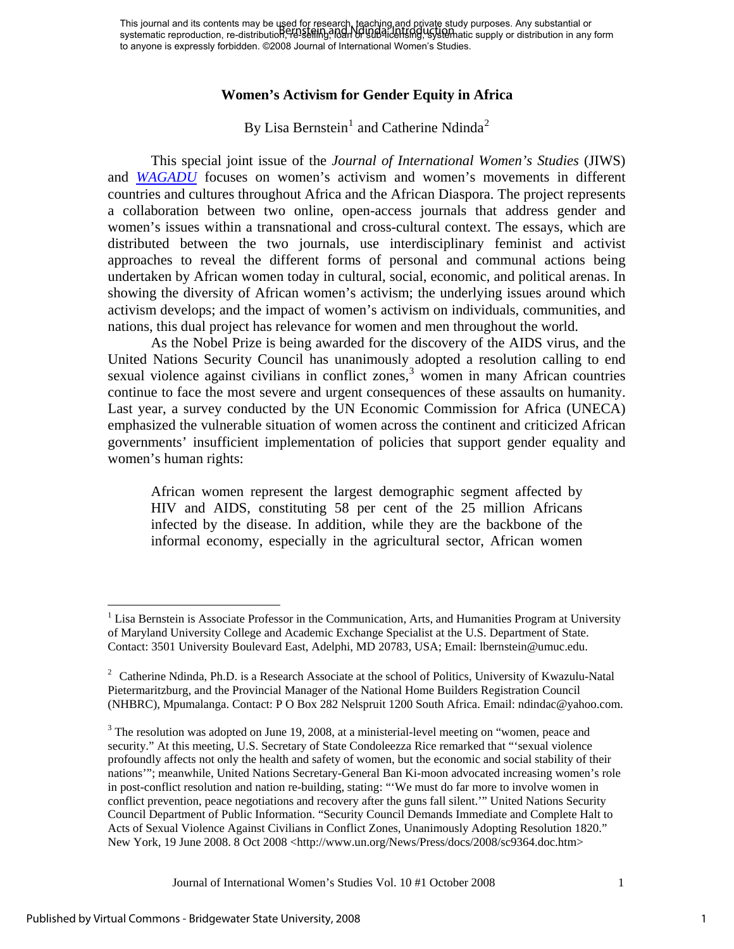## **Women's Activism for Gender Equity in Africa**

By Lisa Bernstein<sup>[1](#page-1-0)</sup> and Catherine Ndinda<sup>[2](#page-1-1)</sup>

This special joint issue of the *Journal of International Women's Studies* (JIWS) and *[WAGADU](http://web.cortland.edu/wagadu)* focuses on women's activism and women's movements in different countries and cultures throughout Africa and the African Diaspora. The project represents a collaboration between two online, open-access journals that address gender and women's issues within a transnational and cross-cultural context. The essays, which are distributed between the two journals, use interdisciplinary feminist and activist approaches to reveal the different forms of personal and communal actions being undertaken by African women today in cultural, social, economic, and political arenas. In showing the diversity of African women's activism; the underlying issues around which activism develops; and the impact of women's activism on individuals, communities, and nations, this dual project has relevance for women and men throughout the world.

As the Nobel Prize is being awarded for the discovery of the AIDS virus, and the United Nations Security Council has unanimously adopted a resolution calling to end sexual violence against civilians in conflict zones, $3$  women in many African countries continue to face the most severe and urgent consequences of these assaults on humanity. Last year, a survey conducted by the UN Economic Commission for Africa (UNECA) emphasized the vulnerable situation of women across the continent and criticized African governments' insufficient implementation of policies that support gender equality and women's human rights:

African women represent the largest demographic segment affected by HIV and AIDS, constituting 58 per cent of the 25 million Africans infected by the disease. In addition, while they are the backbone of the informal economy, especially in the agricultural sector, African women

Journal of International Women's Studies Vol. 10 #1 October 2008 1

 $\overline{a}$ 

1

<span id="page-1-0"></span><sup>&</sup>lt;sup>1</sup> Lisa Bernstein is Associate Professor in the Communication, Arts, and Humanities Program at University of Maryland University College and Academic Exchange Specialist at the U.S. Department of State. Contact: 3501 University Boulevard East, Adelphi, MD 20783, USA; Email: lbernstein@umuc.edu.

<span id="page-1-1"></span><sup>&</sup>lt;sup>2</sup> Catherine Ndinda, Ph.D. is a Research Associate at the school of Politics, University of Kwazulu-Natal Pietermaritzburg, and the Provincial Manager of the National Home Builders Registration Council (NHBRC), Mpumalanga. Contact: P O Box 282 Nelspruit 1200 South Africa. Email: ndindac@yahoo.com.

<span id="page-1-2"></span> $3$  The resolution was adopted on June 19, 2008, at a ministerial-level meeting on "women, peace and security." At this meeting, U.S. Secretary of State Condoleezza Rice remarked that "'sexual violence profoundly affects not only the health and safety of women, but the economic and social stability of their nations'"; meanwhile, United Nations Secretary-General Ban Ki-moon advocated increasing women's role in post-conflict resolution and nation re-building, stating: "'We must do far more to involve women in conflict prevention, peace negotiations and recovery after the guns fall silent.'" United Nations Security Council Department of Public Information. "Security Council Demands Immediate and Complete Halt to Acts of Sexual Violence Against Civilians in Conflict Zones, Unanimously Adopting Resolution 1820." New York, 19 June 2008. 8 Oct 2008 <http://www.un.org/News/Press/docs/2008/sc9364.doc.htm>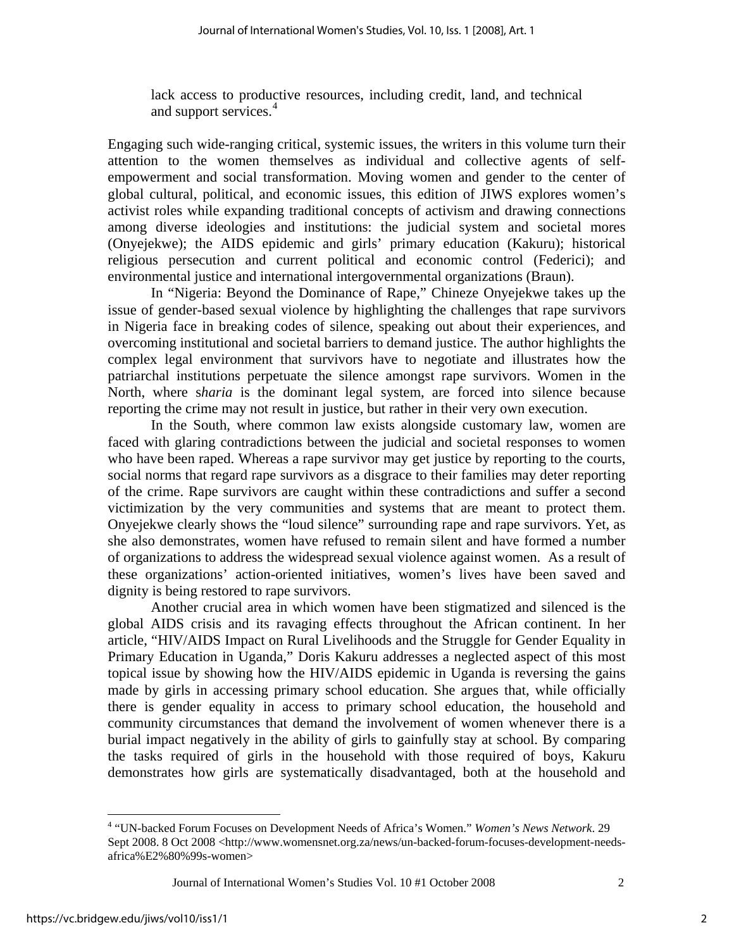lack access to productive resources, including credit, land, and technical and support services.<sup>[4](#page-2-0)</sup>

Engaging such wide-ranging critical, systemic issues, the writers in this volume turn their attention to the women themselves as individual and collective agents of selfempowerment and social transformation. Moving women and gender to the center of global cultural, political, and economic issues, this edition of JIWS explores women's activist roles while expanding traditional concepts of activism and drawing connections among diverse ideologies and institutions: the judicial system and societal mores (Onyejekwe); the AIDS epidemic and girls' primary education (Kakuru); historical religious persecution and current political and economic control (Federici); and environmental justice and international intergovernmental organizations (Braun).

In "Nigeria: Beyond the Dominance of Rape," Chineze Onyejekwe takes up the issue of gender-based sexual violence by highlighting the challenges that rape survivors in Nigeria face in breaking codes of silence, speaking out about their experiences, and overcoming institutional and societal barriers to demand justice. The author highlights the complex legal environment that survivors have to negotiate and illustrates how the patriarchal institutions perpetuate the silence amongst rape survivors. Women in the North, where s*haria* is the dominant legal system, are forced into silence because reporting the crime may not result in justice, but rather in their very own execution.

In the South, where common law exists alongside customary law, women are faced with glaring contradictions between the judicial and societal responses to women who have been raped. Whereas a rape survivor may get justice by reporting to the courts, social norms that regard rape survivors as a disgrace to their families may deter reporting of the crime. Rape survivors are caught within these contradictions and suffer a second victimization by the very communities and systems that are meant to protect them. Onyejekwe clearly shows the "loud silence" surrounding rape and rape survivors. Yet, as she also demonstrates, women have refused to remain silent and have formed a number of organizations to address the widespread sexual violence against women. As a result of these organizations' action-oriented initiatives, women's lives have been saved and dignity is being restored to rape survivors.

Another crucial area in which women have been stigmatized and silenced is the global AIDS crisis and its ravaging effects throughout the African continent. In her article, "HIV/AIDS Impact on Rural Livelihoods and the Struggle for Gender Equality in Primary Education in Uganda," Doris Kakuru addresses a neglected aspect of this most topical issue by showing how the HIV/AIDS epidemic in Uganda is reversing the gains made by girls in accessing primary school education. She argues that, while officially there is gender equality in access to primary school education, the household and community circumstances that demand the involvement of women whenever there is a burial impact negatively in the ability of girls to gainfully stay at school. By comparing the tasks required of girls in the household with those required of boys, Kakuru demonstrates how girls are systematically disadvantaged, both at the household and

1

<span id="page-2-0"></span><sup>4</sup> "UN-backed Forum Focuses on Development Needs of Africa's Women." *Women's News Network*. 29 Sept 2008. 8 Oct 2008 <http://www.womensnet.org.za/news/un-backed-forum-focuses-development-needsafrica%E2%80%99s-women>

Journal of International Women's Studies Vol. 10 #1 October 2008 2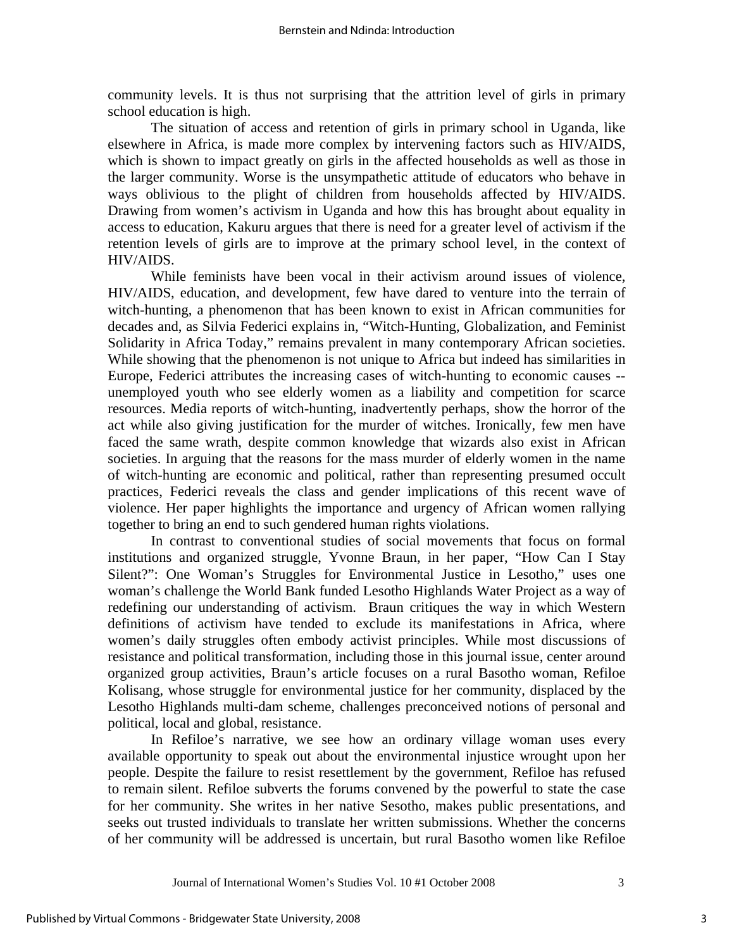community levels. It is thus not surprising that the attrition level of girls in primary school education is high.

The situation of access and retention of girls in primary school in Uganda, like elsewhere in Africa, is made more complex by intervening factors such as HIV/AIDS, which is shown to impact greatly on girls in the affected households as well as those in the larger community. Worse is the unsympathetic attitude of educators who behave in ways oblivious to the plight of children from households affected by HIV/AIDS. Drawing from women's activism in Uganda and how this has brought about equality in access to education, Kakuru argues that there is need for a greater level of activism if the retention levels of girls are to improve at the primary school level, in the context of HIV/AIDS.

While feminists have been vocal in their activism around issues of violence, HIV/AIDS, education, and development, few have dared to venture into the terrain of witch-hunting, a phenomenon that has been known to exist in African communities for decades and, as Silvia Federici explains in, "Witch-Hunting, Globalization, and Feminist Solidarity in Africa Today," remains prevalent in many contemporary African societies. While showing that the phenomenon is not unique to Africa but indeed has similarities in Europe, Federici attributes the increasing cases of witch-hunting to economic causes - unemployed youth who see elderly women as a liability and competition for scarce resources. Media reports of witch-hunting, inadvertently perhaps, show the horror of the act while also giving justification for the murder of witches. Ironically, few men have faced the same wrath, despite common knowledge that wizards also exist in African societies. In arguing that the reasons for the mass murder of elderly women in the name of witch-hunting are economic and political, rather than representing presumed occult practices, Federici reveals the class and gender implications of this recent wave of violence. Her paper highlights the importance and urgency of African women rallying together to bring an end to such gendered human rights violations.

In contrast to conventional studies of social movements that focus on formal institutions and organized struggle, Yvonne Braun, in her paper, "How Can I Stay Silent?": One Woman's Struggles for Environmental Justice in Lesotho," uses one woman's challenge the World Bank funded Lesotho Highlands Water Project as a way of redefining our understanding of activism. Braun critiques the way in which Western definitions of activism have tended to exclude its manifestations in Africa, where women's daily struggles often embody activist principles. While most discussions of resistance and political transformation, including those in this journal issue, center around organized group activities, Braun's article focuses on a rural Basotho woman, Refiloe Kolisang, whose struggle for environmental justice for her community, displaced by the Lesotho Highlands multi-dam scheme, challenges preconceived notions of personal and political, local and global, resistance.

In Refiloe's narrative, we see how an ordinary village woman uses every available opportunity to speak out about the environmental injustice wrought upon her people. Despite the failure to resist resettlement by the government, Refiloe has refused to remain silent. Refiloe subverts the forums convened by the powerful to state the case for her community. She writes in her native Sesotho, makes public presentations, and seeks out trusted individuals to translate her written submissions. Whether the concerns of her community will be addressed is uncertain, but rural Basotho women like Refiloe

3